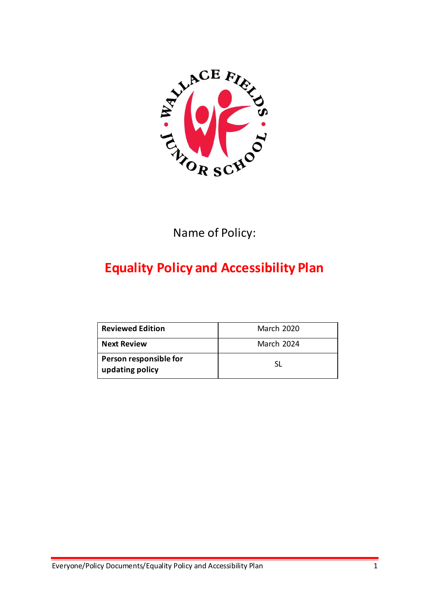

Name of Policy:

# **Equality Policy and Accessibility Plan**

| <b>Reviewed Edition</b>                   | <b>March 2020</b> |
|-------------------------------------------|-------------------|
| <b>Next Review</b>                        | <b>March 2024</b> |
| Person responsible for<br>updating policy |                   |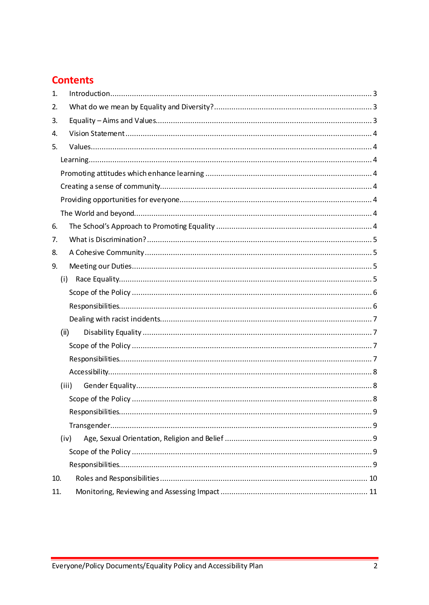# **Contents**

| 1.  |       |  |
|-----|-------|--|
| 2.  |       |  |
| 3.  |       |  |
| 4.  |       |  |
| 5.  |       |  |
|     |       |  |
|     |       |  |
|     |       |  |
|     |       |  |
|     |       |  |
| 6.  |       |  |
| 7.  |       |  |
| 8.  |       |  |
| 9.  |       |  |
|     | (i)   |  |
|     |       |  |
|     |       |  |
|     |       |  |
|     | (ii)  |  |
|     |       |  |
|     |       |  |
|     |       |  |
|     | (iii) |  |
|     |       |  |
|     |       |  |
|     |       |  |
|     | (iv)  |  |
|     |       |  |
|     |       |  |
| 10. |       |  |
| 11. |       |  |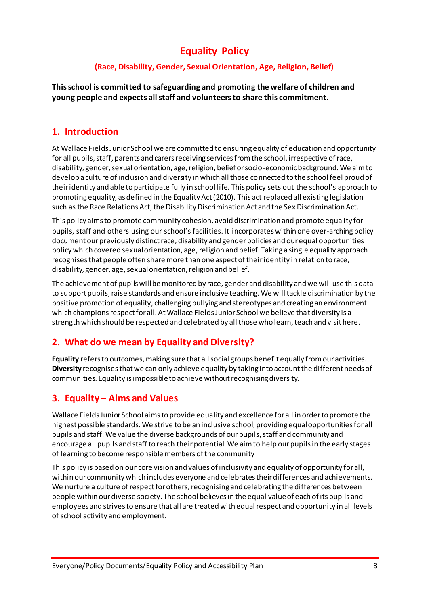# **Equality Policy**

### **(Race, Disability, Gender, Sexual Orientation, Age, Religion, Belief)**

**This school is committed to safeguarding and promoting the welfare of children and young people and expects all staff and volunteers to share this commitment.**

### <span id="page-2-0"></span>**1. Introduction**

At Wallace Fields Junior School we are committed to ensuring equality of education and opportunity for all pupils, staff, parents and carers receiving services from the school, irrespective of race, disability, gender, sexual orientation, age, religion, belief or socio-economic background. We aim to develop a culture of inclusion and diversity in which all those connected to the school feel proud of their identity and able to participate fully in school life. This policy sets out the school's approach to promoting equality, as defined in the Equality Act (2010). This act replaced all existing legislation such as the Race Relations Act, the Disability Discrimination Act and the Sex Discrimination Act.

This policy aims to promote community cohesion, avoid discrimination and promote equality for pupils, staff and others using our school's facilities. It incorporates within one over-arching policy document our previously distinct race, disability and gender policies and our equal opportunities policy which covered sexual orientation, age, religion and belief. Taking a single equality approach recognises that people often share more than one aspect of their identity in relation to race, disability, gender, age, sexual orientation, religion and belief.

The achievement of pupils will be monitored by race, gender and disability and we will use this data to support pupils, raise standards and ensure inclusive teaching. We will tackle discrimination by the positive promotion of equality, challenging bullying and stereotypes and creating an environment which champions respect for all. At Wallace Fields Junior School we believe that diversity is a strength which should be respected and celebrated by all those who learn, teach and visit here.

# <span id="page-2-1"></span>**2. What do we mean by Equality and Diversity?**

**Equality** refers to outcomes, making sure that all social groups benefit equally from our activities. **Diversity** recognises that we can only achieve equality by taking into account the different needs of communities. Equality is impossible to achieve without recognising diversity.

# <span id="page-2-2"></span>**3. Equality – Aims and Values**

Wallace Fields Junior School aims to provide equality and excellence for all in order to promote the highest possible standards. We strive to be an inclusive school, providing equal opportunities for all pupils and staff. We value the diverse backgrounds of our pupils, staff and community and encourage all pupils and staff to reach their potential. We aim to help our pupils in the early stages of learning to become responsible members of the community

This policy is based on our core vision and values of inclusivity and equality of opportunity for all, within our community which includes everyone and celebrates their differences and achievements. We nurture a culture of respect for others, recognising and celebrating the differences between people within our diverse society. The school believes in the equal value of each of its pupils and employees and strives to ensure that all are treated with equal respect and opportunity in all levels of school activity and employment.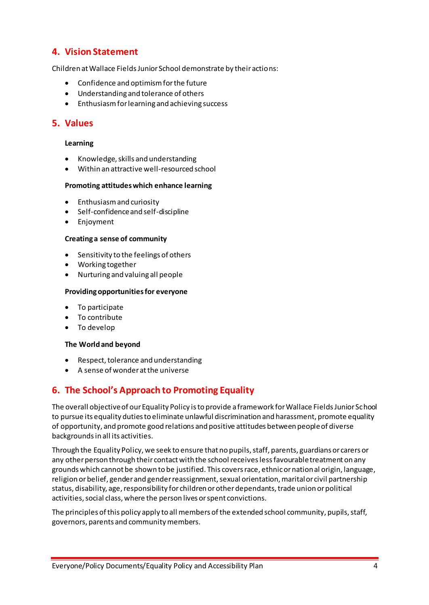### <span id="page-3-0"></span>**4. Vision Statement**

Children at Wallace Fields Junior School demonstrate by their actions:

- Confidence and optimism for the future
- Understanding and tolerance of others
- Enthusiasm for learning and achieving success

### <span id="page-3-1"></span>**5. Values**

#### <span id="page-3-2"></span>**Learning**

- Knowledge, skills and understanding
- Within an attractive well-resourced school

#### <span id="page-3-3"></span>**Promoting attitudes which enhance learning**

- Enthusiasm and curiosity
- Self-confidence and self-discipline
- Enjoyment

#### <span id="page-3-4"></span>**Creating a sense of community**

- Sensitivity to the feelings of others
- Working together
- Nurturing and valuing all people

#### <span id="page-3-5"></span>**Providing opportunities for everyone**

- To participate
- To contribute
- To develop

#### <span id="page-3-6"></span>**The World and beyond**

- Respect, tolerance and understanding
- A sense of wonder at the universe

### <span id="page-3-7"></span>**6. The School's Approach to Promoting Equality**

The overall objective of our Equality Policy is to provide a framework for Wallace Fields Junior School to pursue its equality duties to eliminate unlawful discrimination and harassment, promote equality of opportunity, and promote good relations and positive attitudes between people of diverse backgrounds in all its activities.

Through the Equality Policy, we seek to ensure that no pupils, staff, parents, guardians or carers or any other person through their contact with the school receives less favourable treatment on any grounds which cannot be shown to be justified. This covers race, ethnic or national origin, language, religion or belief, gender and gender reassignment, sexual orientation, marital or civil partnership status, disability, age, responsibility for children or other dependants, trade union or political activities, social class, where the person lives or spent convictions.

The principles of this policy apply to all members of the extended school community, pupils, staff, governors, parents and community members.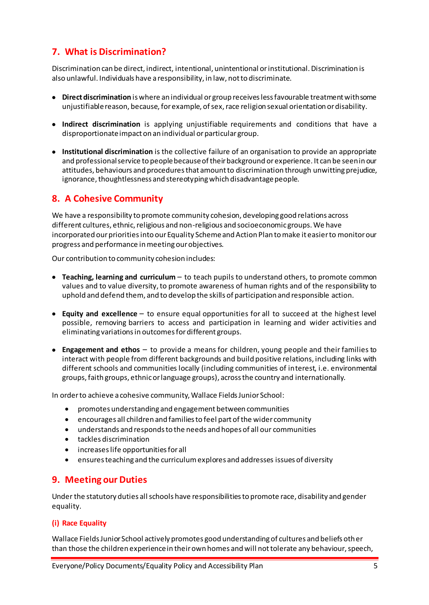# <span id="page-4-0"></span>**7. What is Discrimination?**

Discrimination can be direct, indirect, intentional, unintentional or institutional. Discrimination is also unlawful. Individuals have a responsibility, in law, not to discriminate.

- **Direct discrimination** is where an individual or group receives less favourable treatment with some unjustifiable reason, because, for example, of sex, race religion sexual orientation or disability.
- **Indirect discrimination** is applying unjustifiable requirements and conditions that have a disproportionate impact on an individual or particular group.
- **Institutional discrimination** is the collective failure of an organisation to provide an appropriate and professional service to people because of their background or experience. It can be seen in our attitudes, behaviours and procedures that amount to discrimination through unwitting prejudice, ignorance, thoughtlessness and stereotyping which disadvantage people.

### <span id="page-4-1"></span>**8. A Cohesive Community**

We have a responsibility to promote community cohesion, developing good relations across different cultures, ethnic, religious and non-religious and socioeconomic groups. We have incorporated our priorities into our Equality Scheme and Action Plan to make it easier to monitor our progress and performance in meeting our objectives.

Our contribution to community cohesion includes:

- **Teaching, learning and curriculum**  to teach pupils to understand others, to promote common values and to value diversity, to promote awareness of human rights and of the responsibility to uphold and defend them, and to develop the skills of participation and responsible action.
- **Equity and excellence**  to ensure equal opportunities for all to succeed at the highest level possible, removing barriers to access and participation in learning and wider activities and eliminating variations in outcomes for different groups.
- **Engagement and ethos**  to provide a means for children, young people and their families to interact with people from different backgrounds and build positive relations, including links with different schools and communities locally (including communities of interest, i.e. environmental groups, faith groups, ethnic or language groups), across the country and internationally.

In order to achieve a cohesive community, Wallace Fields Junior School:

- promotes understanding and engagement between communities
- encourages all children and families to feel part of the wider community
- understands and responds to the needs and hopes of all our communities
- tackles discrimination
- increases life opportunities for all
- ensures teaching and the curriculum explores and addresses issues of diversity

### <span id="page-4-2"></span>**9. Meeting our Duties**

Under the statutory duties all schools have responsibilities to promote race, disability and gender equality.

#### <span id="page-4-3"></span>**(i) Race Equality**

Wallace Fields Junior School actively promotes good understanding of cultures and beliefs other than those the children experience in their own homes and will not tolerate any behaviour, speech,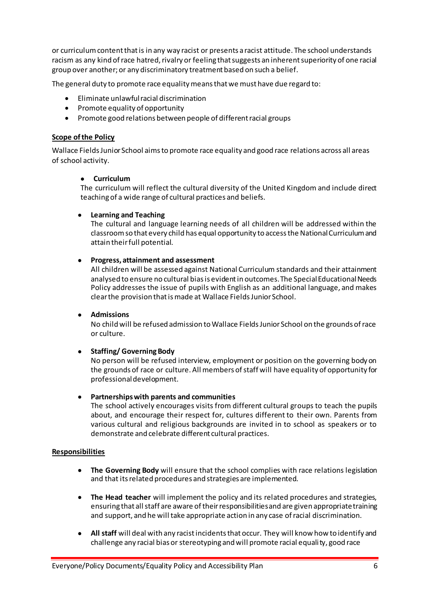or curriculum content that is in any way racist or presents a racist attitude. The school understands racism as any kind of race hatred, rivalry or feeling that suggests an inherent superiority of one racial group over another; or any discriminatory treatment based on such a belief.

The general duty to promote race equality means that we must have due regard to:

- Eliminate unlawful racial discrimination
- Promote equality of opportunity
- Promote good relations between people of different racial groups

#### <span id="page-5-0"></span>**Scope of the Policy**

Wallace Fields Junior School aims to promote race equality and good race relations across all areas of school activity.

#### **Curriculum**

The curriculum will reflect the cultural diversity of the United Kingdom and include direct teaching of a wide range of cultural practices and beliefs.

#### **Learning and Teaching**

The cultural and language learning needs of all children will be addressed within the classroom so that every child has equal opportunity to access the National Curriculum and attain their full potential.

#### **Progress, attainment and assessment**

All children will be assessed against National Curriculum standards and their attainment analysed to ensure no cultural bias is evident in outcomes. The Special Educational Needs Policy addresses the issue of pupils with English as an additional language, and makes clear the provision that is made at Wallace Fields Junior School.

#### **Admissions**

No child will be refused admission to Wallace Fields Junior School on the grounds of race or culture.

#### **Staffing/ Governing Body**

No person will be refused interview, employment or position on the governing body on the grounds of race or culture. All members of staff will have equality of opportunity for professional development.

#### **Partnerships with parents and communities**

The school actively encourages visits from different cultural groups to teach the pupils about, and encourage their respect for, cultures different to their own. Parents from various cultural and religious backgrounds are invited in to school as speakers or to demonstrate and celebrate different cultural practices.

#### <span id="page-5-1"></span>**Responsibilities**

- **The Governing Body** will ensure that the school complies with race relations legislation and that its related procedures and strategies are implemented.
- **The Head teacher** will implement the policy and its related procedures and strategies, ensuring that all staff are aware of their responsibilities and are given appropriate training and support, and he will take appropriate action in any case of racial discrimination.
- **All staff** will deal with any racist incidents that occur. They will know how to identify and challenge any racial bias or stereotyping and will promote racial equality, good race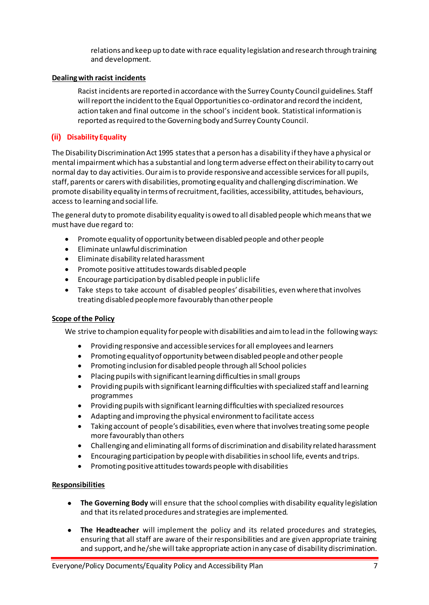relations and keep up to date with race equality legislation and research through training and development.

#### <span id="page-6-0"></span>**Dealing with racist incidents**

Racist incidents are reported in accordance with the Surrey County Council guidelines. Staff will report the incident to the Equal Opportunities co-ordinator and record the incident, action taken and final outcome in the school's incident book. Statistical information is reported as required to the Governing body and Surrey County Council.

#### <span id="page-6-1"></span>**(ii) Disability Equality**

The Disability Discrimination Act 1995 states that a person has a disability if they have a physical or mental impairment which has a substantial and long term adverse effect on their ability to carry out normal day to day activities. Our aim is to provide responsive and accessible services for all pupils, staff, parents or carers with disabilities, promoting equality and challenging discrimination. We promote disability equality in terms of recruitment, facilities, accessibility, attitudes, behaviours, access to learning and social life.

The general duty to promote disability equality is owed to all disabled people which means that we must have due regard to:

- Promote equality of opportunity between disabled people and other people
- Eliminate unlawful discrimination
- Eliminate disability related harassment
- Promote positive attitudes towards disabled people
- Encourage participation by disabled people in public life
- Take steps to take account of disabled peoples' disabilities, even where that involves treating disabled people more favourably than other people

#### <span id="page-6-2"></span>**Scope of the Policy**

We strive to champion equality for people with disabilities and aim to lead in the following ways:

- Providing responsive and accessible services for all employees and learners
- Promoting equality of opportunity between disabled people and other people
- Promoting inclusion for disabled people through all School policies
- Placing pupils with significant learning difficulties in small groups
- Providing pupils with significant learning difficulties with specialized staff and learning programmes
- Providing pupils with significant learning difficulties with specialized resources
- Adapting and improving the physical environment to facilitate access
- Taking account of people's disabilities, even where that involves treating some people more favourably than others
- Challenging and eliminating all forms of discrimination and disability related harassment
- Encouraging participation by people with disabilities in school life, events and trips.
- Promoting positive attitudes towards people with disabilities

#### <span id="page-6-3"></span>**Responsibilities**

- **The Governing Body** will ensure that the school complies with disability equality legislation and that its related procedures and strategies are implemented.
- **The Headteacher** will implement the policy and its related procedures and strategies, ensuring that all staff are aware of their responsibilities and are given appropriate training and support, and he/she will take appropriate action in any case of disability discrimination.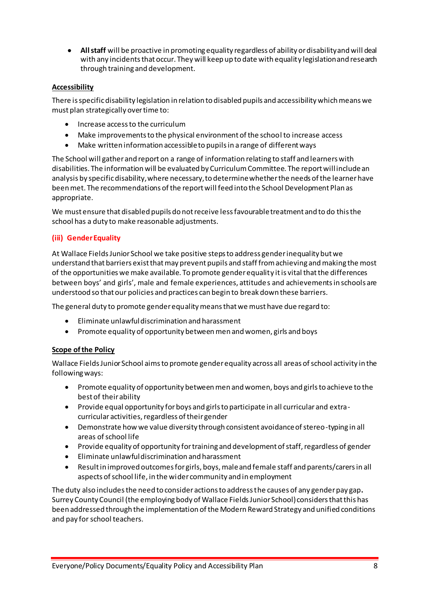**All staff** will be proactive in promoting equality regardless of ability or disability and will deal with any incidents that occur. They will keep up to date with equality legislation and research through training and development.

### <span id="page-7-0"></span>**Accessibility**

There is specific disability legislation in relation to disabled pupils and accessibility which means we must plan strategically over time to:

- Increase access to the curriculum
- Make improvements to the physical environment of the school to increase access
- Make written information accessible to pupils in a range of different ways

The School will gather and report on a range of information relating to staff and learners with disabilities. The information will be evaluated by Curriculum Committee. The report will include an analysis by specific disability, where necessary, to determine whether the needs of the learner have been met. The recommendations of the report will feed into the School Development Plan as appropriate.

We must ensure that disabled pupils do not receive less favourable treatment and to do this the school has a duty to make reasonable adjustments.

### <span id="page-7-1"></span>**(iii) Gender Equality**

At Wallace Fields Junior School we take positive steps to address gender inequality but we understand that barriers exist that may prevent pupils and staff from achieving and making the most of the opportunities we make available. To promote gender equality it is vital that the differences between boys' and girls', male and female experiences, attitudes and achievements in schools are understood so that our policies and practices can begin to break down these barriers.

The general duty to promote gender equality means that we must have due regard to:

- Eliminate unlawful discrimination and harassment
- Promote equality of opportunity between men and women, girls and boys

#### <span id="page-7-2"></span>**Scope of the Policy**

Wallace Fields Junior School aims to promote gender equality across all areas of school activity in the following ways:

- Promote equality of opportunity between men and women, boys and girls to achieve to the best of their ability
- Provide equal opportunity for boys and girls to participate in all curricular and extracurricular activities, regardless of their gender
- Demonstrate how we value diversity through consistent avoidance of stereo-typing in all areas of school life
- Provide equality of opportunity for training and development of staff, regardless of gender
- Eliminate unlawful discrimination and harassment
- Result in improved outcomes for girls, boys, male and female staff and parents/carers in all aspects of school life, in the wider community and in employment

The duty also includes the need to consider actions to address the causes of any gender pay gap**.**  Surrey County Council (the employing body of Wallace Fields Junior School) considers that this has been addressed through the implementation of the Modern Reward Strategy and unified conditions and pay for school teachers.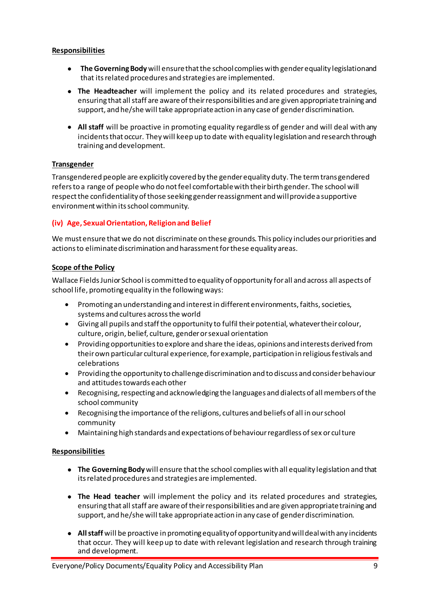#### <span id="page-8-0"></span>**Responsibilities**

- **The Governing Body** will ensure that the school complies with gender equality legislation and that its related procedures and strategies are implemented.
- **The Headteacher** will implement the policy and its related procedures and strategies, ensuring that all staff are aware of their responsibilities and are given appropriate training and support, and he/she will take appropriate action in any case of gender discrimination.
- **All staff** will be proactive in promoting equality regardless of gender and will deal with any incidents that occur. They will keep up to date with equality legislation and research through training and development.

#### <span id="page-8-1"></span>**Transgender**

Transgendered people are explicitly covered by the gender equality duty. The term transgendered refers to a range of people who do not feel comfortable with their birth gender. The school will respect the confidentiality of those seeking gender reassignment and will provide a supportive environment within its school community.

#### <span id="page-8-2"></span>**(iv) Age, Sexual Orientation, Religion and Belief**

We must ensure that we do not discriminate on these grounds. This policy includes our priorities and actions to eliminate discrimination and harassment for these equality areas.

#### <span id="page-8-3"></span>**Scope of the Policy**

Wallace Fields Junior School is committed to equality of opportunity for all and across all aspects of school life, promoting equality in the following ways:

- Promoting an understanding and interest in different environments, faiths, societies, systems and cultures across the world
- Giving all pupils and staff the opportunity to fulfil their potential, whatever their colour, culture, origin, belief, culture, gender or sexual orientation
- Providing opportunities to explore and share the ideas, opinions and interests derived from their own particular cultural experience, for example, participation in religious festivals and celebrations
- Providing the opportunity to challenge discrimination and to discuss and consider behaviour and attitudes towards each other
- Recognising, respecting and acknowledging the languages and dialects of all members of the school community
- Recognising the importance of the religions, cultures and beliefs of all in our school community
- Maintaining high standards and expectations of behaviour regardless of sex or culture

#### <span id="page-8-4"></span>**Responsibilities**

- **The Governing Body** will ensure that the school complies with all equality legislation and that its related procedures and strategies are implemented.
- **The Head teacher** will implement the policy and its related procedures and strategies, ensuring that all staff are aware of their responsibilities and are given appropriate training and support, and he/she will take appropriate action in any case of gender discrimination.
- **All staff** will be proactive in promoting equality of opportunity and will deal with any incidents that occur. They will keep up to date with relevant legislation and research through training and development.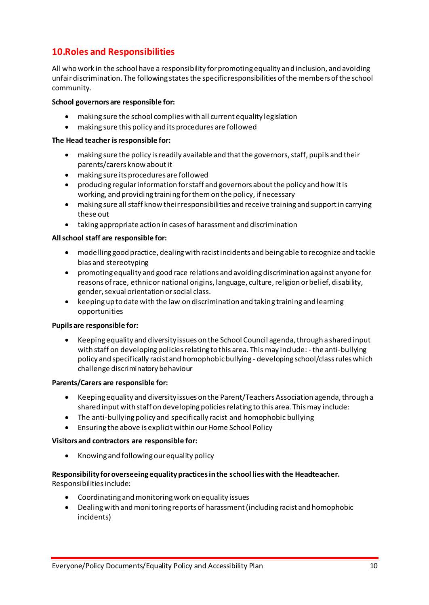# <span id="page-9-0"></span>**10.Roles and Responsibilities**

All who work in the school have a responsibility for promoting equality and inclusion, and avoiding unfair discrimination. The following states the specific responsibilities of the members of the school community.

#### **School governors are responsible for:**

- making sure the school complies with all current equality legislation
- making sure this policy and its procedures are followed

#### **The Head teacher is responsible for:**

- making sure the policy is readily available and that the governors, staff, pupils and their parents/carers know about it
- making sure its procedures are followed
- producing regular information for staff and governors about the policy and how it is working, and providing training for them on the policy, if necessary
- making sure all staff know their responsibilities and receive training and support in carrying these out
- taking appropriate action in cases of harassment and discrimination

#### **All school staff are responsible for:**

- modelling good practice, dealing with racist incidents and being able to recognize and tackle bias and stereotyping
- promoting equality and good race relations and avoiding discrimination against anyone for reasons of race, ethnic or national origins, language, culture, religion or belief, disability, gender, sexual orientation or social class.
- keeping up to date with the law on discrimination and taking training and learning opportunities

#### **Pupils are responsible for:**

 Keeping equality and diversity issues on the School Council agenda, through a shared input with staff on developing policies relating to this area. This may include: - the anti-bullying policy and specifically racist and homophobic bullying - developing school/class rules which challenge discriminatory behaviour

#### **Parents/Carers are responsible for:**

- Keeping equality and diversity issues on the Parent/Teachers Association agenda, through a shared input with staff on developing policies relating to this area. This may include:
- The anti-bullying policy and specifically racist and homophobic bullying
- Ensuring the above is explicit within our Home School Policy

#### **Visitors and contractors are responsible for:**

• Knowing and following our equality policy

# **Responsibility for overseeing equality practices in the school lies with the Headteacher.**

Responsibilities include:

- Coordinating and monitoring work on equality issues
- Dealing with and monitoring reports of harassment (including racist and homophobic incidents)